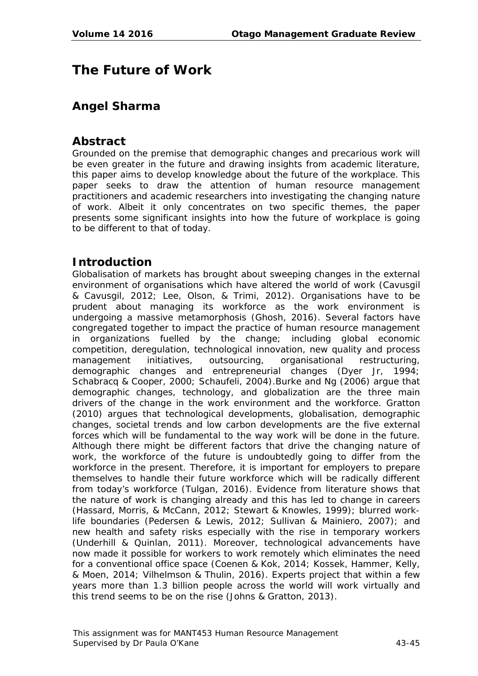# **The Future of Work**

# **Angel Sharma**

## **Abstract**

Grounded on the premise that demographic changes and precarious work will be even greater in the future and drawing insights from academic literature, this paper aims to develop knowledge about the future of the workplace. This paper seeks to draw the attention of human resource management practitioners and academic researchers into investigating the changing nature of work. Albeit it only concentrates on two specific themes, the paper presents some significant insights into how the future of workplace is going to be different to that of today.

# **Introduction**

Globalisation of markets has brought about sweeping changes in the external environment of organisations which have altered the world of work (Cavusgil & Cavusgil, 2012; Lee, Olson, & Trimi, 2012). Organisations have to be prudent about managing its workforce as the work environment is undergoing a massive metamorphosis (Ghosh, 2016). Several factors have congregated together to impact the practice of human resource management in organizations fuelled by the change; including global economic competition, deregulation, technological innovation, new quality and process management initiatives, outsourcing, organisational restructuring, demographic changes and entrepreneurial changes (Dyer Jr, 1994; Schabracq & Cooper, 2000; Schaufeli, 2004).Burke and Ng (2006) argue that demographic changes, technology, and globalization are the three main drivers of the change in the work environment and the workforce. Gratton (2010) argues that technological developments, globalisation, demographic changes, societal trends and low carbon developments are the five external forces which will be fundamental to the way work will be done in the future. Although there might be different factors that drive the changing nature of work, the workforce of the future is undoubtedly going to differ from the workforce in the present. Therefore, it is important for employers to prepare themselves to handle their future workforce which will be radically different from today's workforce (Tulgan, 2016). Evidence from literature shows that the nature of work is changing already and this has led to change in careers (Hassard, Morris, & McCann, 2012; Stewart & Knowles, 1999); blurred worklife boundaries (Pedersen & Lewis, 2012; Sullivan & Mainiero, 2007); and new health and safety risks especially with the rise in temporary workers (Underhill & Quinlan, 2011). Moreover, technological advancements have now made it possible for workers to work remotely which eliminates the need for a conventional office space (Coenen & Kok, 2014; Kossek, Hammer, Kelly, & Moen, 2014; Vilhelmson & Thulin, 2016). Experts project that within a few years more than 1.3 billion people across the world will work virtually and this trend seems to be on the rise (Johns & Gratton, 2013).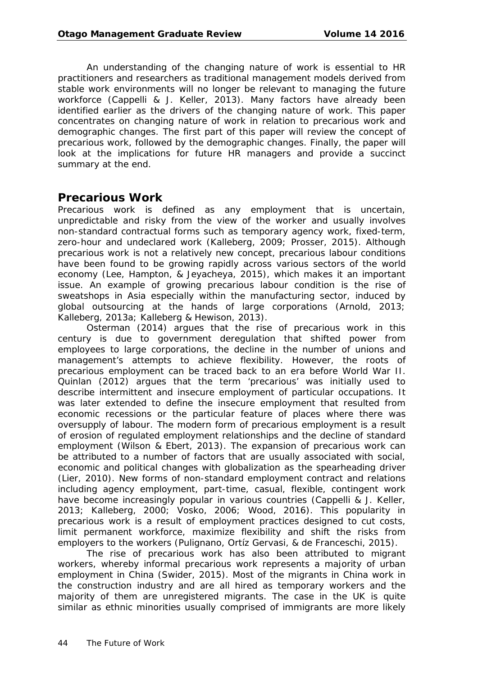An understanding of the changing nature of work is essential to HR practitioners and researchers as traditional management models derived from stable work environments will no longer be relevant to managing the future workforce (Cappelli & J. Keller, 2013). Many factors have already been identified earlier as the drivers of the changing nature of work. This paper concentrates on changing nature of work in relation to precarious work and demographic changes. The first part of this paper will review the concept of precarious work, followed by the demographic changes. Finally, the paper will look at the implications for future HR managers and provide a succinct summary at the end.

### **Precarious Work**

Precarious work is defined as any employment that is uncertain, unpredictable and risky from the view of the worker and usually involves non-standard contractual forms such as temporary agency work, fixed-term, zero-hour and undeclared work (Kalleberg, 2009; Prosser, 2015). Although precarious work is not a relatively new concept, precarious labour conditions have been found to be growing rapidly across various sectors of the world economy (Lee, Hampton, & Jeyacheya, 2015), which makes it an important issue. An example of growing precarious labour condition is the rise of sweatshops in Asia especially within the manufacturing sector, induced by global outsourcing at the hands of large corporations (Arnold, 2013; Kalleberg, 2013a; Kalleberg & Hewison, 2013).

Osterman (2014) argues that the rise of precarious work in this century is due to government deregulation that shifted power from employees to large corporations, the decline in the number of unions and management's attempts to achieve flexibility. However, the roots of precarious employment can be traced back to an era before World War II. Quinlan (2012) argues that the term 'precarious' was initially used to describe intermittent and insecure employment of particular occupations. It was later extended to define the insecure employment that resulted from economic recessions or the particular feature of places where there was oversupply of labour. The modern form of precarious employment is a result of erosion of regulated employment relationships and the decline of standard employment (Wilson & Ebert, 2013). The expansion of precarious work can be attributed to a number of factors that are usually associated with social, economic and political changes with globalization as the spearheading driver (Lier, 2010). New forms of non-standard employment contract and relations including agency employment, part-time, casual, flexible, contingent work have become increasingly popular in various countries (Cappelli & J. Keller, 2013; Kalleberg, 2000; Vosko, 2006; Wood, 2016). This popularity in precarious work is a result of employment practices designed to cut costs, limit permanent workforce, maximize flexibility and shift the risks from employers to the workers (Pulignano, Ortíz Gervasi, & de Franceschi, 2015).

The rise of precarious work has also been attributed to migrant workers, whereby informal precarious work represents a majority of urban employment in China (Swider, 2015). Most of the migrants in China work in the construction industry and are all hired as temporary workers and the majority of them are unregistered migrants. The case in the UK is quite similar as ethnic minorities usually comprised of immigrants are more likely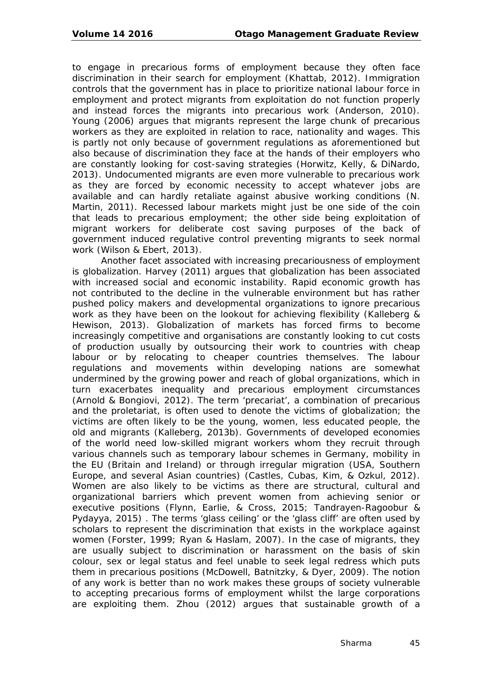to engage in precarious forms of employment because they often face discrimination in their search for employment (Khattab, 2012). Immigration controls that the government has in place to prioritize national labour force in employment and protect migrants from exploitation do not function properly and instead forces the migrants into precarious work (Anderson, 2010). Young (2006) argues that migrants represent the large chunk of precarious workers as they are exploited in relation to race, nationality and wages. This is partly not only because of government regulations as aforementioned but also because of discrimination they face at the hands of their employers who are constantly looking for cost-saving strategies (Horwitz, Kelly, & DiNardo, 2013). Undocumented migrants are even more vulnerable to precarious work as they are forced by economic necessity to accept whatever jobs are available and can hardly retaliate against abusive working conditions (N. Martin, 2011). Recessed labour markets might just be one side of the coin that leads to precarious employment; the other side being exploitation of migrant workers for deliberate cost saving purposes of the back of government induced regulative control preventing migrants to seek normal work (Wilson & Ebert, 2013).

Another facet associated with increasing precariousness of employment is globalization. Harvey (2011) argues that globalization has been associated with increased social and economic instability. Rapid economic growth has not contributed to the decline in the vulnerable environment but has rather pushed policy makers and developmental organizations to ignore precarious work as they have been on the lookout for achieving flexibility (Kalleberg & Hewison, 2013). Globalization of markets has forced firms to become increasingly competitive and organisations are constantly looking to cut costs of production usually by outsourcing their work to countries with cheap labour or by relocating to cheaper countries themselves. The labour regulations and movements within developing nations are somewhat undermined by the growing power and reach of global organizations, which in turn exacerbates inequality and precarious employment circumstances (Arnold & Bongiovi, 2012). The term 'precariat', a combination of precarious and the proletariat, is often used to denote the victims of globalization; the victims are often likely to be the young, women, less educated people, the old and migrants (Kalleberg, 2013b). Governments of developed economies of the world need low-skilled migrant workers whom they recruit through various channels such as temporary labour schemes in Germany, mobility in the EU (Britain and Ireland) or through irregular migration (USA, Southern Europe, and several Asian countries) (Castles, Cubas, Kim, & Ozkul, 2012). Women are also likely to be victims as there are structural, cultural and organizational barriers which prevent women from achieving senior or executive positions (Flynn, Earlie, & Cross, 2015; Tandrayen-Ragoobur & Pydayya, 2015) . The terms 'glass ceiling' or the 'glass cliff' are often used by scholars to represent the discrimination that exists in the workplace against women (Forster, 1999; Ryan & Haslam, 2007). In the case of migrants, they are usually subject to discrimination or harassment on the basis of skin colour, sex or legal status and feel unable to seek legal redress which puts them in precarious positions (McDowell, Batnitzky, & Dyer, 2009). The notion of any work is better than no work makes these groups of society vulnerable to accepting precarious forms of employment whilst the large corporations are exploiting them. Zhou (2012) argues that sustainable growth of a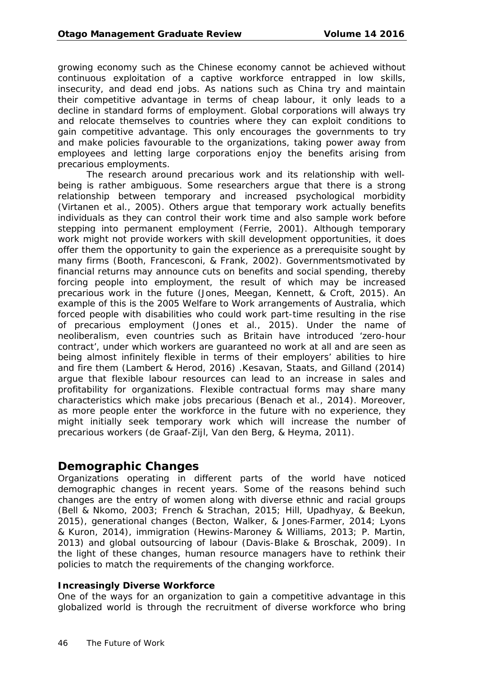growing economy such as the Chinese economy cannot be achieved without continuous exploitation of a captive workforce entrapped in low skills, insecurity, and dead end jobs. As nations such as China try and maintain their competitive advantage in terms of cheap labour, it only leads to a decline in standard forms of employment. Global corporations will always try and relocate themselves to countries where they can exploit conditions to gain competitive advantage. This only encourages the governments to try and make policies favourable to the organizations, taking power away from employees and letting large corporations enjoy the benefits arising from precarious employments.

The research around precarious work and its relationship with wellbeing is rather ambiguous. Some researchers argue that there is a strong relationship between temporary and increased psychological morbidity (Virtanen et al., 2005). Others argue that temporary work actually benefits individuals as they can control their work time and also sample work before stepping into permanent employment (Ferrie, 2001). Although temporary work might not provide workers with skill development opportunities, it does offer them the opportunity to gain the experience as a prerequisite sought by many firms (Booth, Francesconi, & Frank, 2002). Governmentsmotivated by financial returns may announce cuts on benefits and social spending, thereby forcing people into employment, the result of which may be increased precarious work in the future (Jones, Meegan, Kennett, & Croft, 2015). An example of this is the 2005 Welfare to Work arrangements of Australia, which forced people with disabilities who could work part-time resulting in the rise of precarious employment (Jones et al., 2015). Under the name of neoliberalism, even countries such as Britain have introduced 'zero-hour contract', under which workers are guaranteed no work at all and are seen as being almost infinitely flexible in terms of their employers' abilities to hire and fire them (Lambert & Herod, 2016) .Kesavan, Staats, and Gilland (2014) argue that flexible labour resources can lead to an increase in sales and profitability for organizations. Flexible contractual forms may share many characteristics which make jobs precarious (Benach et al., 2014). Moreover, as more people enter the workforce in the future with no experience, they might initially seek temporary work which will increase the number of precarious workers (de Graaf-Zijl, Van den Berg, & Heyma, 2011).

# **Demographic Changes**

Organizations operating in different parts of the world have noticed demographic changes in recent years. Some of the reasons behind such changes are the entry of women along with diverse ethnic and racial groups (Bell & Nkomo, 2003; French & Strachan, 2015; Hill, Upadhyay, & Beekun, 2015), generational changes (Becton, Walker, & Jones‐Farmer, 2014; Lyons & Kuron, 2014), immigration (Hewins-Maroney & Williams, 2013; P. Martin, 2013) and global outsourcing of labour (Davis-Blake & Broschak, 2009). In the light of these changes, human resource managers have to rethink their policies to match the requirements of the changing workforce.

#### **Increasingly Diverse Workforce**

One of the ways for an organization to gain a competitive advantage in this globalized world is through the recruitment of diverse workforce who bring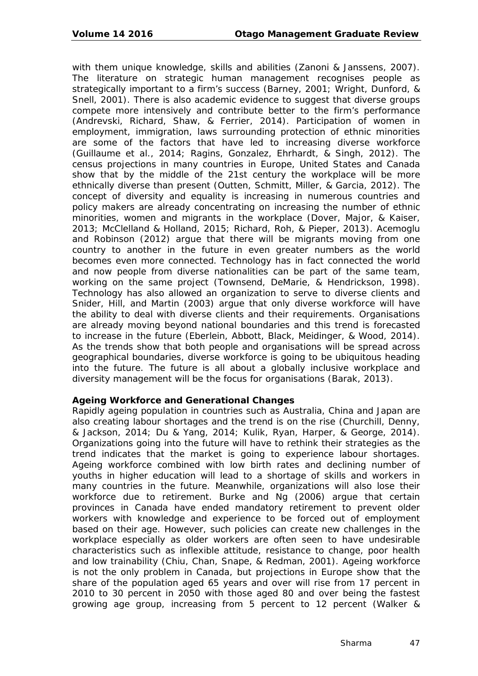with them unique knowledge, skills and abilities (Zanoni & Janssens, 2007). The literature on strategic human management recognises people as strategically important to a firm's success (Barney, 2001; Wright, Dunford, & Snell, 2001). There is also academic evidence to suggest that diverse groups compete more intensively and contribute better to the firm's performance (Andrevski, Richard, Shaw, & Ferrier, 2014). Participation of women in employment, immigration, laws surrounding protection of ethnic minorities are some of the factors that have led to increasing diverse workforce (Guillaume et al., 2014; Ragins, Gonzalez, Ehrhardt, & Singh, 2012). The census projections in many countries in Europe, United States and Canada show that by the middle of the 21st century the workplace will be more ethnically diverse than present (Outten, Schmitt, Miller, & Garcia, 2012). The concept of diversity and equality is increasing in numerous countries and policy makers are already concentrating on increasing the number of ethnic minorities, women and migrants in the workplace (Dover, Major, & Kaiser, 2013; McClelland & Holland, 2015; Richard, Roh, & Pieper, 2013). Acemoglu and Robinson (2012) argue that there will be migrants moving from one country to another in the future in even greater numbers as the world becomes even more connected. Technology has in fact connected the world and now people from diverse nationalities can be part of the same team, working on the same project (Townsend, DeMarie, & Hendrickson, 1998). Technology has also allowed an organization to serve to diverse clients and Snider, Hill, and Martin (2003) argue that only diverse workforce will have the ability to deal with diverse clients and their requirements. Organisations are already moving beyond national boundaries and this trend is forecasted to increase in the future (Eberlein, Abbott, Black, Meidinger, & Wood, 2014). As the trends show that both people and organisations will be spread across geographical boundaries, diverse workforce is going to be ubiquitous heading into the future. The future is all about a globally inclusive workplace and diversity management will be the focus for organisations (Barak, 2013).

#### **Ageing Workforce and Generational Changes**

Rapidly ageing population in countries such as Australia, China and Japan are also creating labour shortages and the trend is on the rise (Churchill, Denny, & Jackson, 2014; Du & Yang, 2014; Kulik, Ryan, Harper, & George, 2014). Organizations going into the future will have to rethink their strategies as the trend indicates that the market is going to experience labour shortages. Ageing workforce combined with low birth rates and declining number of youths in higher education will lead to a shortage of skills and workers in many countries in the future. Meanwhile, organizations will also lose their workforce due to retirement. Burke and Ng (2006) argue that certain provinces in Canada have ended mandatory retirement to prevent older workers with knowledge and experience to be forced out of employment based on their age. However, such policies can create new challenges in the workplace especially as older workers are often seen to have undesirable characteristics such as inflexible attitude, resistance to change, poor health and low trainability (Chiu, Chan, Snape, & Redman, 2001). Ageing workforce is not the only problem in Canada, but projections in Europe show that the share of the population aged 65 years and over will rise from 17 percent in 2010 to 30 percent in 2050 with those aged 80 and over being the fastest growing age group, increasing from 5 percent to 12 percent (Walker &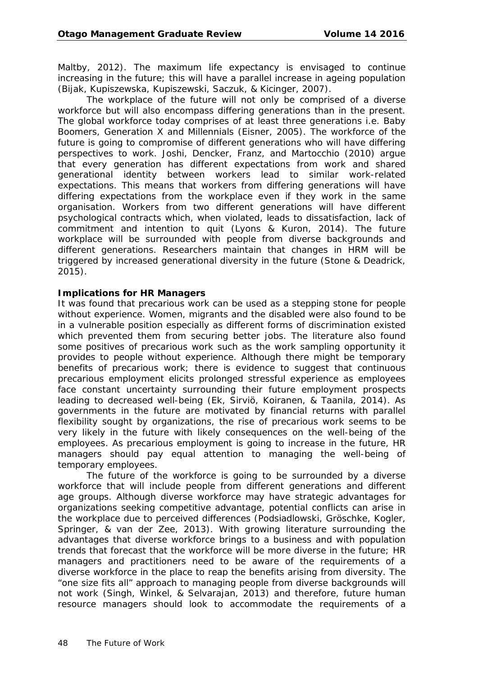Maltby, 2012). The maximum life expectancy is envisaged to continue increasing in the future; this will have a parallel increase in ageing population (Bijak, Kupiszewska, Kupiszewski, Saczuk, & Kicinger, 2007).

The workplace of the future will not only be comprised of a diverse workforce but will also encompass differing generations than in the present. The global workforce today comprises of at least three generations i.e. Baby Boomers, Generation X and Millennials (Eisner, 2005). The workforce of the future is going to compromise of different generations who will have differing perspectives to work. Joshi, Dencker, Franz, and Martocchio (2010) argue that every generation has different expectations from work and shared generational identity between workers lead to similar work-related expectations. This means that workers from differing generations will have differing expectations from the workplace even if they work in the same organisation. Workers from two different generations will have different psychological contracts which, when violated, leads to dissatisfaction, lack of commitment and intention to quit (Lyons & Kuron, 2014). The future workplace will be surrounded with people from diverse backgrounds and different generations. Researchers maintain that changes in HRM will be triggered by increased generational diversity in the future (Stone & Deadrick, 2015).

#### **Implications for HR Managers**

It was found that precarious work can be used as a stepping stone for people without experience. Women, migrants and the disabled were also found to be in a vulnerable position especially as different forms of discrimination existed which prevented them from securing better jobs. The literature also found some positives of precarious work such as the work sampling opportunity it provides to people without experience. Although there might be temporary benefits of precarious work; there is evidence to suggest that continuous precarious employment elicits prolonged stressful experience as employees face constant uncertainty surrounding their future employment prospects leading to decreased well-being (Ek, Sirviö, Koiranen, & Taanila, 2014). As governments in the future are motivated by financial returns with parallel flexibility sought by organizations, the rise of precarious work seems to be very likely in the future with likely consequences on the well-being of the employees. As precarious employment is going to increase in the future, HR managers should pay equal attention to managing the well-being of temporary employees.

The future of the workforce is going to be surrounded by a diverse workforce that will include people from different generations and different age groups. Although diverse workforce may have strategic advantages for organizations seeking competitive advantage, potential conflicts can arise in the workplace due to perceived differences (Podsiadlowski, Gröschke, Kogler, Springer, & van der Zee, 2013). With growing literature surrounding the advantages that diverse workforce brings to a business and with population trends that forecast that the workforce will be more diverse in the future; HR managers and practitioners need to be aware of the requirements of a diverse workforce in the place to reap the benefits arising from diversity. The "one size fits all" approach to managing people from diverse backgrounds will not work (Singh, Winkel, & Selvarajan, 2013) and therefore, future human resource managers should look to accommodate the requirements of a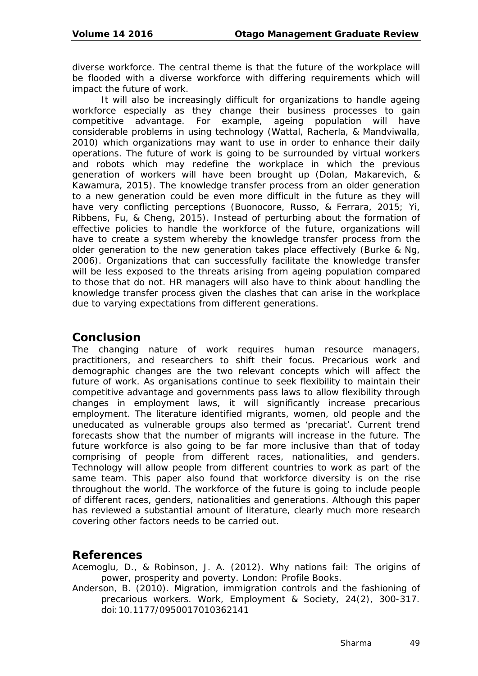diverse workforce. The central theme is that the future of the workplace will be flooded with a diverse workforce with differing requirements which will impact the future of work.

It will also be increasingly difficult for organizations to handle ageing workforce especially as they change their business processes to gain competitive advantage. For example, ageing population will have considerable problems in using technology (Wattal, Racherla, & Mandviwalla, 2010) which organizations may want to use in order to enhance their daily operations. The future of work is going to be surrounded by virtual workers and robots which may redefine the workplace in which the previous generation of workers will have been brought up (Dolan, Makarevich, & Kawamura, 2015). The knowledge transfer process from an older generation to a new generation could be even more difficult in the future as they will have very conflicting perceptions (Buonocore, Russo, & Ferrara, 2015; Yi, Ribbens, Fu, & Cheng, 2015). Instead of perturbing about the formation of effective policies to handle the workforce of the future, organizations will have to create a system whereby the knowledge transfer process from the older generation to the new generation takes place effectively (Burke & Ng, 2006). Organizations that can successfully facilitate the knowledge transfer will be less exposed to the threats arising from ageing population compared to those that do not. HR managers will also have to think about handling the knowledge transfer process given the clashes that can arise in the workplace due to varying expectations from different generations.

## **Conclusion**

The changing nature of work requires human resource managers, practitioners, and researchers to shift their focus. Precarious work and demographic changes are the two relevant concepts which will affect the future of work. As organisations continue to seek flexibility to maintain their competitive advantage and governments pass laws to allow flexibility through changes in employment laws, it will significantly increase precarious employment. The literature identified migrants, women, old people and the uneducated as vulnerable groups also termed as 'precariat'. Current trend forecasts show that the number of migrants will increase in the future. The future workforce is also going to be far more inclusive than that of today comprising of people from different races, nationalities, and genders. Technology will allow people from different countries to work as part of the same team. This paper also found that workforce diversity is on the rise throughout the world. The workforce of the future is going to include people of different races, genders, nationalities and generations. Although this paper has reviewed a substantial amount of literature, clearly much more research covering other factors needs to be carried out.

# **References**

Acemoglu, D., & Robinson, J. A. (2012). *Why nations fail: The origins of power, prosperity and poverty*. London: Profile Books.

Anderson, B. (2010). Migration, immigration controls and the fashioning of precarious workers. *Work, Employment & Society, 24*(2), 300-317. doi:10.1177/0950017010362141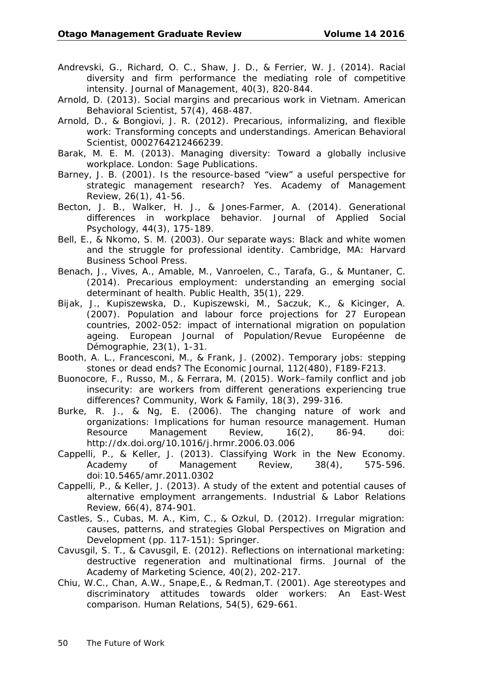- Andrevski, G., Richard, O. C., Shaw, J. D., & Ferrier, W. J. (2014). Racial diversity and firm performance the mediating role of competitive intensity. *Journal of Management, 40*(3), 820-844.
- Arnold, D. (2013). Social margins and precarious work in Vietnam. *American Behavioral Scientist, 57*(4), 468-487.
- Arnold, D., & Bongiovi, J. R. (2012). Precarious, informalizing, and flexible work: Transforming concepts and understandings. *American Behavioral Scientist*, 0002764212466239.
- Barak, M. E. M. (2013). *Managing diversity: Toward a globally inclusive workplace*. London: Sage Publications.
- Barney, J. B. (2001). Is the resource-based "view" a useful perspective for strategic management research? Yes. *Academy of Management Review, 26*(1), 41-56.
- Becton, J. B., Walker, H. J., & Jones‐Farmer, A. (2014). Generational differences in workplace behavior. *Journal of Applied Social Psychology, 44*(3), 175-189.
- Bell, E., & Nkomo, S. M. (2003). *Our separate ways: Black and white women and the struggle for professional identity*. Cambridge, MA: Harvard Business School Press.
- Benach, J., Vives, A., Amable, M., Vanroelen, C., Tarafa, G., & Muntaner, C. (2014). Precarious employment: understanding an emerging social determinant of health. *Public Health, 35*(1), 229.
- Bijak, J., Kupiszewska, D., Kupiszewski, M., Saczuk, K., & Kicinger, A. (2007). Population and labour force projections for 27 European countries, 2002-052: impact of international migration on population ageing. *European Journal of Population/Revue Européenne de Démographie, 23*(1), 1-31.
- Booth, A. L., Francesconi, M., & Frank, J. (2002). Temporary jobs: stepping stones or dead ends? *The Economic Journal, 112*(480), F189-F213.
- Buonocore, F., Russo, M., & Ferrara, M. (2015). Work–family conflict and job insecurity: are workers from different generations experiencing true differences? *Community, Work & Family, 18*(3), 299-316.
- Burke, R. J., & Ng, E. (2006). The changing nature of work and organizations: Implications for human resource management. *Human Resource Management Review, 16*(2), 86-94. doi: http://dx.doi.org/10.1016/j.hrmr.2006.03.006
- Cappelli, P., & Keller, J. (2013). Classifying Work in the New Economy. *Academy of Management Review, 38*(4), 575-596. doi:10.5465/amr.2011.0302
- Cappelli, P., & Keller, J. (2013). A study of the extent and potential causes of alternative employment arrangements. *Industrial & Labor Relations Review, 66*(4), 874-901.
- Castles, S., Cubas, M. A., Kim, C., & Ozkul, D. (2012). Irregular migration: causes, patterns, and strategies *Global Perspectives on Migration and Development* (pp. 117-151): Springer.
- Cavusgil, S. T., & Cavusgil, E. (2012). Reflections on international marketing: destructive regeneration and multinational firms. *Journal of the Academy of Marketing Science, 40*(2), 202-217.
- Chiu, W.C., Chan, A.W., Snape,E., & Redman,T. (2001). Age stereotypes and discriminatory attitudes towards older workers: An East-West comparison. *Human Relations, 54*(5), 629-661.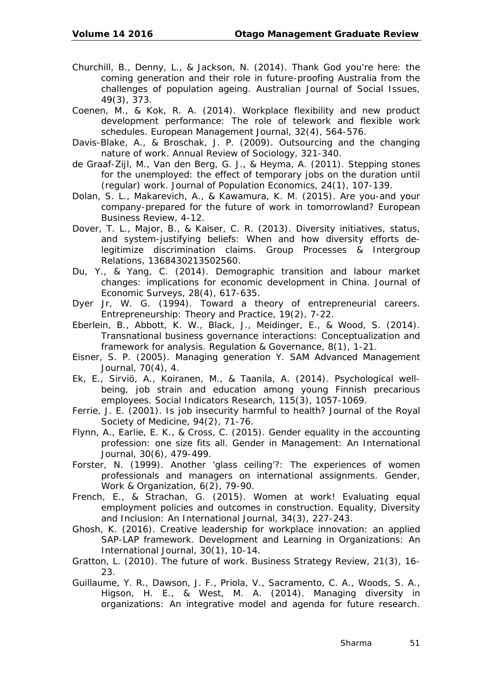- Churchill, B., Denny, L., & Jackson, N. (2014). Thank God you're here: the coming generation and their role in future-proofing Australia from the challenges of population ageing. *Australian Journal of Social Issues, 49*(3), 373.
- Coenen, M., & Kok, R. A. (2014). Workplace flexibility and new product development performance: The role of telework and flexible work schedules. *European Management Journal, 32*(4), 564-576.
- Davis-Blake, A., & Broschak, J. P. (2009). Outsourcing and the changing nature of work. *Annual Review of Sociology*, 321-340.
- de Graaf-Zijl, M., Van den Berg, G. J., & Heyma, A. (2011). Stepping stones for the unemployed: the effect of temporary jobs on the duration until (regular) work. *Journal of Population Economics, 24*(1), 107-139.
- Dolan, S. L., Makarevich, A., & Kawamura, K. M. (2015). Are you-and your company-prepared for the future of work in tomorrowland? *European Business Review*, 4-12.
- Dover, T. L., Major, B., & Kaiser, C. R. (2013). Diversity initiatives, status, and system-justifying beliefs: When and how diversity efforts delegitimize discrimination claims. *Group Processes & Intergroup Relations*, 1368430213502560.
- Du, Y., & Yang, C. (2014). Demographic transition and labour market changes: implications for economic development in China. *Journal of Economic Surveys, 28*(4), 617-635.
- Dyer Jr, W. G. (1994). Toward a theory of entrepreneurial careers. *Entrepreneurship: Theory and Practice, 19*(2), 7-22.
- Eberlein, B., Abbott, K. W., Black, J., Meidinger, E., & Wood, S. (2014). Transnational business governance interactions: Conceptualization and framework for analysis. *Regulation & Governance, 8*(1), 1-21.
- Eisner, S. P. (2005). Managing generation Y. *SAM Advanced Management Journal, 70*(4), 4.
- Ek, E., Sirviö, A., Koiranen, M., & Taanila, A. (2014). Psychological wellbeing, job strain and education among young Finnish precarious employees. *Social Indicators Research, 115*(3), 1057-1069.
- Ferrie, J. E. (2001). Is job insecurity harmful to health? *Journal of the Royal Society of Medicine, 94*(2), 71-76.
- Flynn, A., Earlie, E. K., & Cross, C. (2015). Gender equality in the accounting profession: one size fits all. *Gender in Management: An International Journal, 30*(6), 479-499.
- Forster, N. (1999). Another 'glass ceiling'?: The experiences of women professionals and managers on international assignments. *Gender, Work & Organization, 6*(2), 79-90.
- French, E., & Strachan, G. (2015). Women at work! Evaluating equal employment policies and outcomes in construction. *Equality, Diversity and Inclusion: An International Journal, 34*(3), 227-243.
- Ghosh, K. (2016). Creative leadership for workplace innovation: an applied SAP-LAP framework. *Development and Learning in Organizations: An International Journal, 30*(1), 10-14.
- Gratton, L. (2010). The future of work. *Business Strategy Review, 21*(3), 16- 23.
- Guillaume, Y. R., Dawson, J. F., Priola, V., Sacramento, C. A., Woods, S. A., Higson, H. E., & West, M. A. (2014). Managing diversity in organizations: An integrative model and agenda for future research.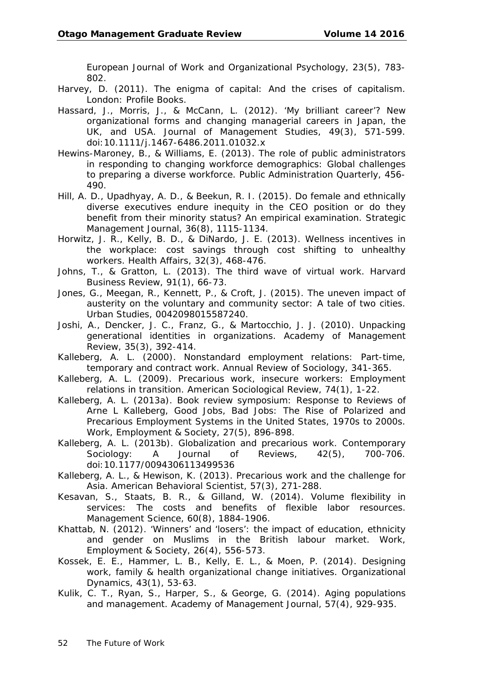*European Journal of Work and Organizational Psychology, 23*(5), 783- 802.

- Harvey, D. (2011). *The enigma of capital: And the crises of capitalism*. London: Profile Books.
- Hassard, J., Morris, J., & McCann, L. (2012). 'My brilliant career'? New organizational forms and changing managerial careers in Japan, the UK, and USA. *Journal of Management Studies, 49*(3), 571-599. doi:10.1111/j.1467-6486.2011.01032.x
- Hewins-Maroney, B., & Williams, E. (2013). The role of public administrators in responding to changing workforce demographics: Global challenges to preparing a diverse workforce. *Public Administration Quarterly*, 456- 490.
- Hill, A. D., Upadhyay, A. D., & Beekun, R. I. (2015). Do female and ethnically diverse executives endure inequity in the CEO position or do they benefit from their minority status? An empirical examination. *Strategic Management Journal, 36*(8), 1115-1134.
- Horwitz, J. R., Kelly, B. D., & DiNardo, J. E. (2013). Wellness incentives in the workplace: cost savings through cost shifting to unhealthy workers. *Health Affairs, 32*(3), 468-476.
- Johns, T., & Gratton, L. (2013). The third wave of virtual work. *Harvard Business Review, 91*(1), 66-73.
- Jones, G., Meegan, R., Kennett, P., & Croft, J. (2015). The uneven impact of austerity on the voluntary and community sector: A tale of two cities. *Urban Studies*, 0042098015587240.
- Joshi, A., Dencker, J. C., Franz, G., & Martocchio, J. J. (2010). Unpacking generational identities in organizations. *Academy of Management Review, 35*(3), 392-414.
- Kalleberg, A. L. (2000). Nonstandard employment relations: Part-time, temporary and contract work. *Annual Review of Sociology*, 341-365.
- Kalleberg, A. L. (2009). Precarious work, insecure workers: Employment relations in transition. *American Sociological Review, 74*(1), 1-22.
- Kalleberg, A. L. (2013a). Book review symposium: Response to Reviews of Arne L Kalleberg, Good Jobs, Bad Jobs: The Rise of Polarized and Precarious Employment Systems in the United States, 1970s to 2000s. *Work, Employment & Society, 27*(5), 896-898.
- Kalleberg, A. L. (2013b). Globalization and precarious work. *Contemporary Sociology: A Journal of Reviews, 42*(5), 700-706. doi:10.1177/0094306113499536
- Kalleberg, A. L., & Hewison, K. (2013). Precarious work and the challenge for Asia. *American Behavioral Scientist, 57*(3), 271-288.
- Kesavan, S., Staats, B. R., & Gilland, W. (2014). Volume flexibility in services: The costs and benefits of flexible labor resources. *Management Science, 60*(8), 1884-1906.
- Khattab, N. (2012). 'Winners' and 'losers': the impact of education, ethnicity and gender on Muslims in the British labour market. *Work, Employment & Society, 26*(4), 556-573.
- Kossek, E. E., Hammer, L. B., Kelly, E. L., & Moen, P. (2014). Designing work, family & health organizational change initiatives. *Organizational Dynamics, 43*(1), 53-63.
- Kulik, C. T., Ryan, S., Harper, S., & George, G. (2014). Aging populations and management. *Academy of Management Journal, 57*(4), 929-935.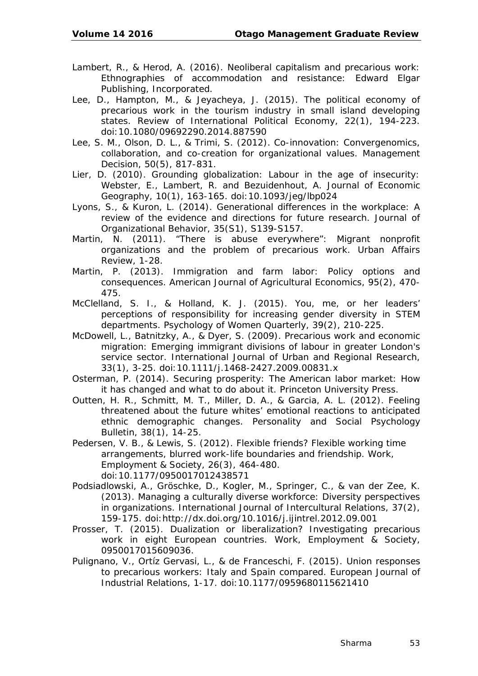- Lambert, R., & Herod, A. (2016). *Neoliberal capitalism and precarious work: Ethnographies of accommodation and resistance*: Edward Elgar Publishing, Incorporated.
- Lee, D., Hampton, M., & Jeyacheya, J. (2015). The political economy of precarious work in the tourism industry in small island developing states. *Review of International Political Economy, 22*(1), 194-223. doi:10.1080/09692290.2014.887590
- Lee, S. M., Olson, D. L., & Trimi, S. (2012). Co-innovation: Convergenomics, collaboration, and co-creation for organizational values. *Management Decision, 50*(5), 817-831.
- Lier, D. (2010). Grounding globalization: Labour in the age of insecurity: Webster, E., Lambert, R. and Bezuidenhout, A. *Journal of Economic Geography, 10*(1), 163-165. doi:10.1093/jeg/lbp024
- Lyons, S., & Kuron, L. (2014). Generational differences in the workplace: A review of the evidence and directions for future research. *Journal of Organizational Behavior, 35*(S1), S139-S157.
- Martin, N. (2011). "There is abuse everywhere": Migrant nonprofit organizations and the problem of precarious work. *Urban Affairs Review*, 1-28.
- Martin, P. (2013). Immigration and farm labor: Policy options and consequences. *American Journal of Agricultural Economics, 95*(2), 470- 475.
- McClelland, S. I., & Holland, K. J. (2015). You, me, or her leaders' perceptions of responsibility for increasing gender diversity in STEM departments. *Psychology of Women Quarterly, 39*(2), 210-225.
- McDowell, L., Batnitzky, A., & Dyer, S. (2009). Precarious work and economic migration: Emerging immigrant divisions of labour in greater London's service sector. *International Journal of Urban and Regional Research, 33*(1), 3-25. doi:10.1111/j.1468-2427.2009.00831.x
- Osterman, P. (2014). *Securing prosperity: The American labor market: How it has changed and what to do about it.* Princeton University Press.
- Outten, H. R., Schmitt, M. T., Miller, D. A., & Garcia, A. L. (2012). Feeling threatened about the future whites' emotional reactions to anticipated ethnic demographic changes. *Personality and Social Psychology Bulletin, 38*(1), 14-25.
- Pedersen, V. B., & Lewis, S. (2012). Flexible friends? Flexible working time arrangements, blurred work-life boundaries and friendship. *Work, Employment & Society, 26*(3), 464-480. doi:10.1177/0950017012438571
- Podsiadlowski, A., Gröschke, D., Kogler, M., Springer, C., & van der Zee, K. (2013). Managing a culturally diverse workforce: Diversity perspectives in organizations. *International Journal of Intercultural Relations, 37*(2), 159-175. doi:http://dx.doi.org/10.1016/j.ijintrel.2012.09.001
- Prosser, T. (2015). Dualization or liberalization? Investigating precarious work in eight European countries. *Work, Employment & Society*, 0950017015609036.
- Pulignano, V., Ortíz Gervasi, L., & de Franceschi, F. (2015). Union responses to precarious workers: Italy and Spain compared. *European Journal of Industrial Relations*, 1-17. doi:10.1177/0959680115621410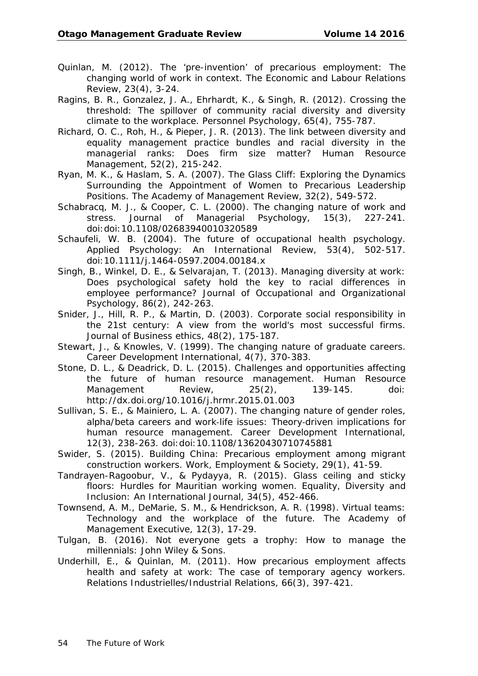- Quinlan, M. (2012). The 'pre-invention' of precarious employment: The changing world of work in context. *The Economic and Labour Relations Review, 23*(4), 3-24.
- Ragins, B. R., Gonzalez, J. A., Ehrhardt, K., & Singh, R. (2012). Crossing the threshold: The spillover of community racial diversity and diversity climate to the workplace. *Personnel Psychology, 65*(4), 755-787.
- Richard, O. C., Roh, H., & Pieper, J. R. (2013). The link between diversity and equality management practice bundles and racial diversity in the managerial ranks: Does firm size matter? *Human Resource Management, 52*(2), 215-242.
- Ryan, M. K., & Haslam, S. A. (2007). The Glass Cliff: Exploring the Dynamics Surrounding the Appointment of Women to Precarious Leadership Positions. *The Academy of Management Review, 32*(2), 549-572.
- Schabracq, M. J., & Cooper, C. L. (2000). The changing nature of work and stress. *Journal of Managerial Psychology, 15*(3), 227-241. doi:doi:10.1108/02683940010320589
- Schaufeli, W. B. (2004). The future of occupational health psychology. *Applied Psychology: An International Review, 53*(4), 502-517. doi:10.1111/j.1464-0597.2004.00184.x
- Singh, B., Winkel, D. E., & Selvarajan, T. (2013). Managing diversity at work: Does psychological safety hold the key to racial differences in employee performance? *Journal of Occupational and Organizational Psychology, 86*(2), 242-263.
- Snider, J., Hill, R. P., & Martin, D. (2003). Corporate social responsibility in the 21st century: A view from the world's most successful firms. *Journal of Business ethics, 48*(2), 175-187.
- Stewart, J., & Knowles, V. (1999). The changing nature of graduate careers. *Career Development International, 4*(7), 370-383.
- Stone, D. L., & Deadrick, D. L. (2015). Challenges and opportunities affecting the future of human resource management. *Human Resource Management Review, 25*(2), 139-145. doi: http://dx.doi.org/10.1016/j.hrmr.2015.01.003
- Sullivan, S. E., & Mainiero, L. A. (2007). The changing nature of gender roles, alpha/beta careers and work‐life issues: Theory‐driven implications for human resource management. *Career Development International, 12*(3), 238-263. doi:doi:10.1108/13620430710745881
- Swider, S. (2015). Building China: Precarious employment among migrant construction workers. *Work, Employment & Society, 29*(1), 41-59.
- Tandrayen-Ragoobur, V., & Pydayya, R. (2015). Glass ceiling and sticky floors: Hurdles for Mauritian working women. *Equality, Diversity and Inclusion: An International Journal, 34*(5), 452-466.
- Townsend, A. M., DeMarie, S. M., & Hendrickson, A. R. (1998). Virtual teams: Technology and the workplace of the future. *The Academy of Management Executive, 12*(3), 17-29.
- Tulgan, B. (2016). *Not everyone gets a trophy: How to manage the millennials*: John Wiley & Sons.
- Underhill, E., & Quinlan, M. (2011). How precarious employment affects health and safety at work: The case of temporary agency workers. *Relations Industrielles/Industrial Relations, 66*(3), 397-421.